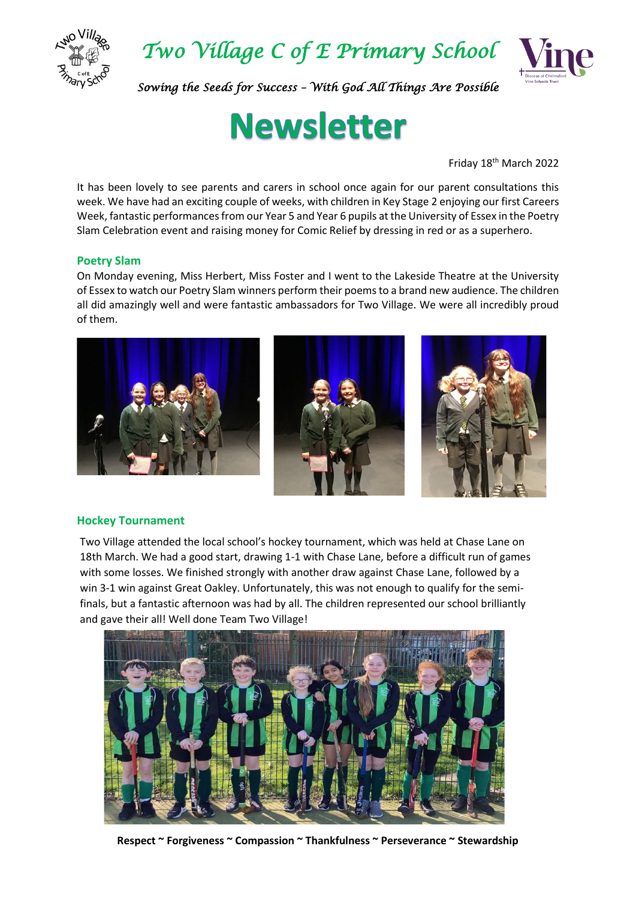



*Sowing the Seeds for Success – With God All Things Are Possible* 

# **Newsletter**

Friday 18th March 2022

It has been lovely to see parents and carers in school once again for our parent consultations this week. We have had an exciting couple of weeks, with children in Key Stage 2 enjoying our first Careers Week, fantastic performances from our Year 5 and Year 6 pupils at the University of Essex in the Poetry Slam Celebration event and raising money for Comic Relief by dressing in red or as a superhero.

### **Poetry Slam**

On Monday evening, Miss Herbert, Miss Foster and I went to the Lakeside Theatre at the University of Essex to watch our Poetry Slam winners perform their poems to a brand new audience. The children all did amazingly well and were fantastic ambassadors for Two Village. We were all incredibly proud of them.



### **Hockey Tournament**

Two Village attended the local school's hockey tournament, which was held at Chase Lane on 18th March. We had a good start, drawing 1-1 with Chase Lane, before a difficult run of games with some losses. We finished strongly with another draw against Chase Lane, followed by a win 3-1 win against Great Oakley. Unfortunately, this was not enough to qualify for the semifinals, but a fantastic afternoon was had by all. The children represented our school brilliantly and gave their all! Well done Team Two Village!



**Respect ~ Forgiveness ~ Compassion ~ Thankfulness ~ Perseverance ~ Stewardship**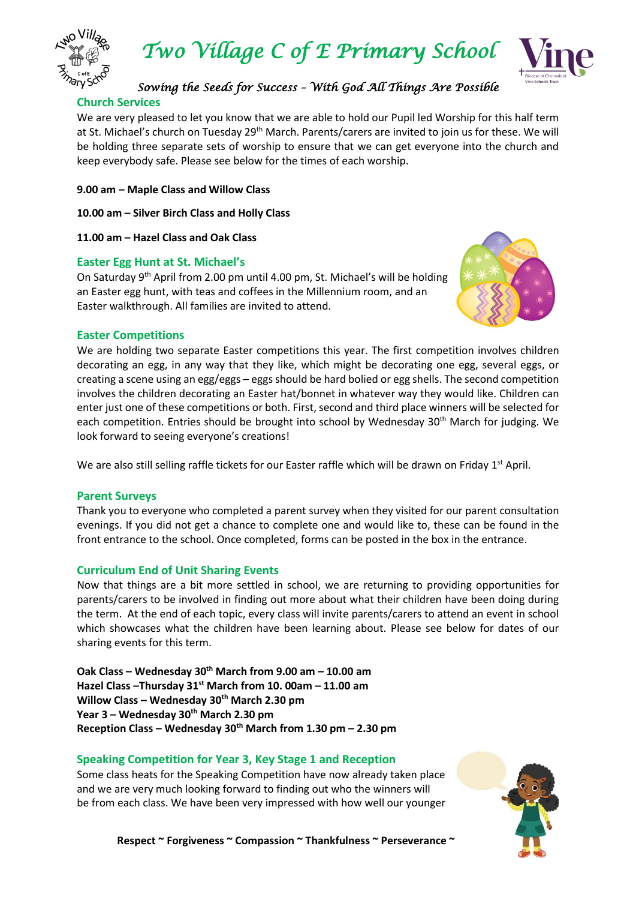



### *Sowing the Seeds for Success – With God All Things Are Possible*

### **Church Services**

We are very pleased to let you know that we are able to hold our Pupil led Worship for this half term at St. Michael's church on Tuesday 29<sup>th</sup> March. Parents/carers are invited to join us for these. We will be holding three separate sets of worship to ensure that we can get everyone into the church and keep everybody safe. Please see below for the times of each worship.

- **9.00 am – Maple Class and Willow Class**
- **10.00 am – Silver Birch Class and Holly Class**
- **11.00 am – Hazel Class and Oak Class**

### **Easter Egg Hunt at St. Michael's**

On Saturday 9th April from 2.00 pm until 4.00 pm, St. Michael's will be holding an Easter egg hunt, with teas and coffees in the Millennium room, and an Easter walkthrough. All families are invited to attend.



### **Easter Competitions**

We are holding two separate Easter competitions this year. The first competition involves children decorating an egg, in any way that they like, which might be decorating one egg, several eggs, or creating a scene using an egg/eggs – eggs should be hard bolied or egg shells. The second competition involves the children decorating an Easter hat/bonnet in whatever way they would like. Children can enter just one of these competitions or both. First, second and third place winners will be selected for each competition. Entries should be brought into school by Wednesday 30<sup>th</sup> March for judging. We look forward to seeing everyone's creations!

We are also still selling raffle tickets for our Easter raffle which will be drawn on Friday 1<sup>st</sup> April.

### **Parent Surveys**

Thank you to everyone who completed a parent survey when they visited for our parent consultation evenings. If you did not get a chance to complete one and would like to, these can be found in the front entrance to the school. Once completed, forms can be posted in the box in the entrance.

### **Curriculum End of Unit Sharing Events**

Now that things are a bit more settled in school, we are returning to providing opportunities for parents/carers to be involved in finding out more about what their children have been doing during the term. At the end of each topic, every class will invite parents/carers to attend an event in school which showcases what the children have been learning about. Please see below for dates of our sharing events for this term.

**Oak Class – Wednesday 30th March from 9.00 am – 10.00 am Hazel Class –Thursday 31 st March from 10. 00am – 11.00 am Willow Class – Wednesday 30th March 2.30 pm Year 3 – Wednesday 30th March 2.30 pm Reception Class – Wednesday 30th March from 1.30 pm – 2.30 pm**

### **Speaking Competition for Year 3, Key Stage 1 and Reception**

Some class heats for the Speaking Competition have now already taken place and we are very much looking forward to finding out who the winners will be from each class. We have been very impressed with how well our younger



Respect ~ Forgiveness ~ Compassion ~ Thankfulness ~ Perseverance ~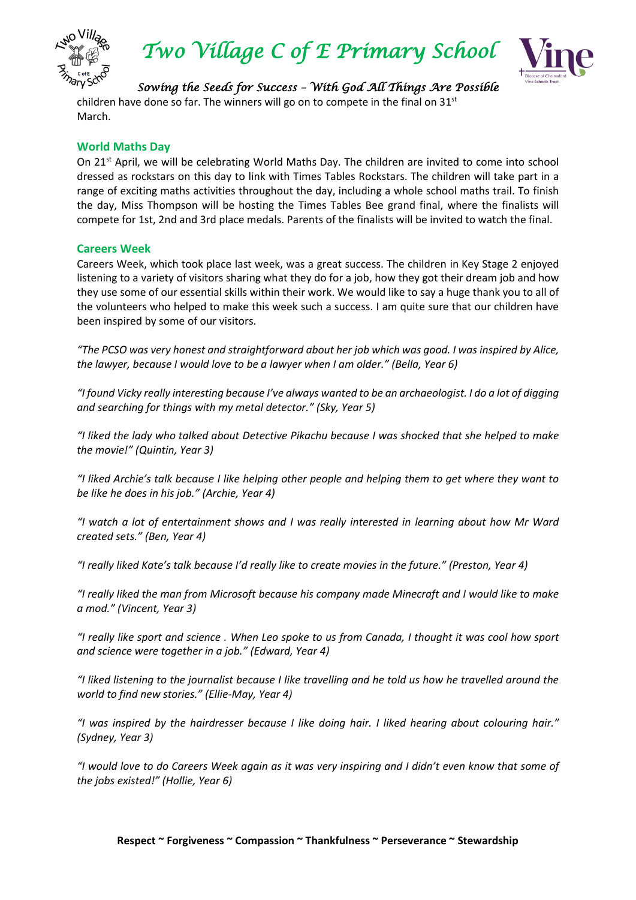

*Two Village C of E Primary School* 



*Sowing the Seeds for Success – With God All Things Are Possible*  children have done so far. The winners will go on to compete in the final on  $31<sup>st</sup>$ March.

### **World Maths Day**

On 21<sup>st</sup> April, we will be celebrating World Maths Day. The children are invited to come into school dressed as rockstars on this day to link with Times Tables Rockstars. The children will take part in a range of exciting maths activities throughout the day, including a whole school maths trail. To finish the day, Miss Thompson will be hosting the Times Tables Bee grand final, where the finalists will compete for 1st, 2nd and 3rd place medals. Parents of the finalists will be invited to watch the final.

### **Careers Week**

Careers Week, which took place last week, was a great success. The children in Key Stage 2 enjoyed listening to a variety of visitors sharing what they do for a job, how they got their dream job and how they use some of our essential skills within their work. We would like to say a huge thank you to all of the volunteers who helped to make this week such a success. I am quite sure that our children have been inspired by some of our visitors.

*"The PCSO was very honest and straightforward about her job which was good. I was inspired by Alice, the lawyer, because I would love to be a lawyer when I am older." (Bella, Year 6)*

*"I found Vicky really interesting because I've always wanted to be an archaeologist. I do a lot of digging and searching for things with my metal detector." (Sky, Year 5)*

*"I liked the lady who talked about Detective Pikachu because I was shocked that she helped to make the movie!" (Quintin, Year 3)*

*"I liked Archie's talk because I like helping other people and helping them to get where they want to be like he does in his job." (Archie, Year 4)*

*"I watch a lot of entertainment shows and I was really interested in learning about how Mr Ward created sets." (Ben, Year 4)*

*"I really liked Kate's talk because I'd really like to create movies in the future." (Preston, Year 4)*

*"I really liked the man from Microsoft because his company made Minecraft and I would like to make a mod." (Vincent, Year 3)*

*"I really like sport and science . When Leo spoke to us from Canada, I thought it was cool how sport and science were together in a job." (Edward, Year 4)*

*"I liked listening to the journalist because I like travelling and he told us how he travelled around the world to find new stories." (Ellie-May, Year 4)*

*"I was inspired by the hairdresser because I like doing hair. I liked hearing about colouring hair." (Sydney, Year 3)*

*"I would love to do Careers Week again as it was very inspiring and I didn't even know that some of the jobs existed!" (Hollie, Year 6)*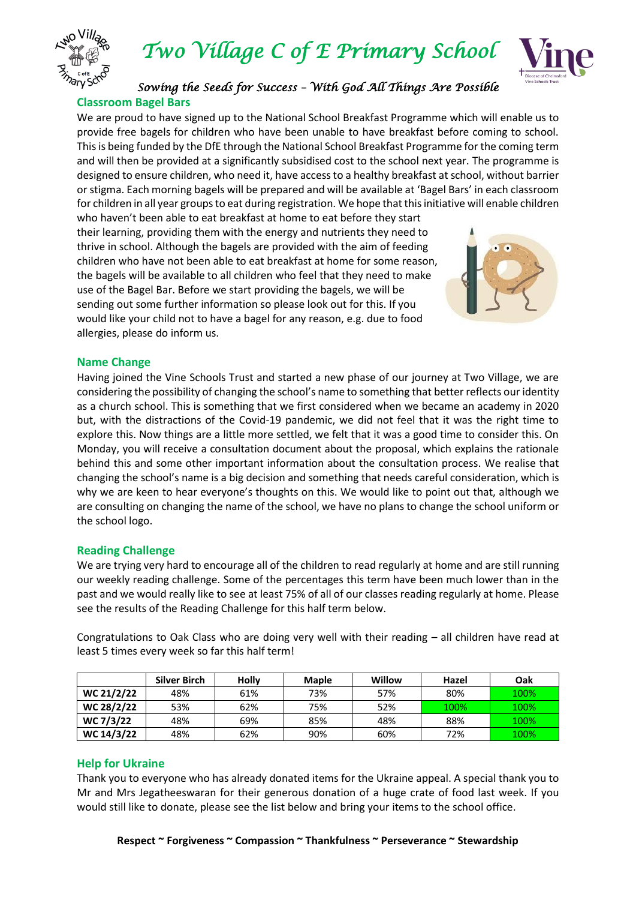



### *Sowing the Seeds for Success – With God All Things Are Possible*  **Classroom Bagel Bars**

We are proud to have signed up to the National School Breakfast Programme which will enable us to provide free bagels for children who have been unable to have breakfast before coming to school. This is being funded by the DfE through the National School Breakfast Programme for the coming term and will then be provided at a significantly subsidised cost to the school next year. The programme is designed to ensure children, who need it, have access to a healthy breakfast at school, without barrier or stigma. Each morning bagels will be prepared and will be available at 'Bagel Bars' in each classroom for children in all year groups to eat during registration. We hope that this initiative will enable children

who haven't been able to eat breakfast at home to eat before they start their learning, providing them with the energy and nutrients they need to thrive in school. Although the bagels are provided with the aim of feeding children who have not been able to eat breakfast at home for some reason, the bagels will be available to all children who feel that they need to make use of the Bagel Bar. Before we start providing the bagels, we will be sending out some further information so please look out for this. If you would like your child not to have a bagel for any reason, e.g. due to food allergies, please do inform us.



### **Name Change**

Having joined the Vine Schools Trust and started a new phase of our journey at Two Village, we are considering the possibility of changing the school's name to something that better reflects our identity as a church school. This is something that we first considered when we became an academy in 2020 but, with the distractions of the Covid-19 pandemic, we did not feel that it was the right time to explore this. Now things are a little more settled, we felt that it was a good time to consider this. On Monday, you will receive a consultation document about the proposal, which explains the rationale behind this and some other important information about the consultation process. We realise that changing the school's name is a big decision and something that needs careful consideration, which is why we are keen to hear everyone's thoughts on this. We would like to point out that, although we are consulting on changing the name of the school, we have no plans to change the school uniform or the school logo.

### **Reading Challenge**

We are trying very hard to encourage all of the children to read regularly at home and are still running our weekly reading challenge. Some of the percentages this term have been much lower than in the past and we would really like to see at least 75% of all of our classes reading regularly at home. Please see the results of the Reading Challenge for this half term below.

Congratulations to Oak Class who are doing very well with their reading – all children have read at least 5 times every week so far this half term!

|            | <b>Silver Birch</b> | <b>Holly</b> | <b>Maple</b> | Willow | Hazel | Oak  |
|------------|---------------------|--------------|--------------|--------|-------|------|
| WC 21/2/22 | 48%                 | 61%          | 73%          | 57%    | 80%   | 100% |
| WC 28/2/22 | 53%                 | 62%          | 75%          | 52%    | 100%  | 100% |
| WC 7/3/22  | 48%                 | 69%          | 85%          | 48%    | 88%   | 100% |
| WC 14/3/22 | 48%                 | 62%          | 90%          | 60%    | 72%   | 100% |

### **Help for Ukraine**

Thank you to everyone who has already donated items for the Ukraine appeal. A special thank you to Mr and Mrs Jegatheeswaran for their generous donation of a huge crate of food last week. If you would still like to donate, please see the list below and bring your items to the school office.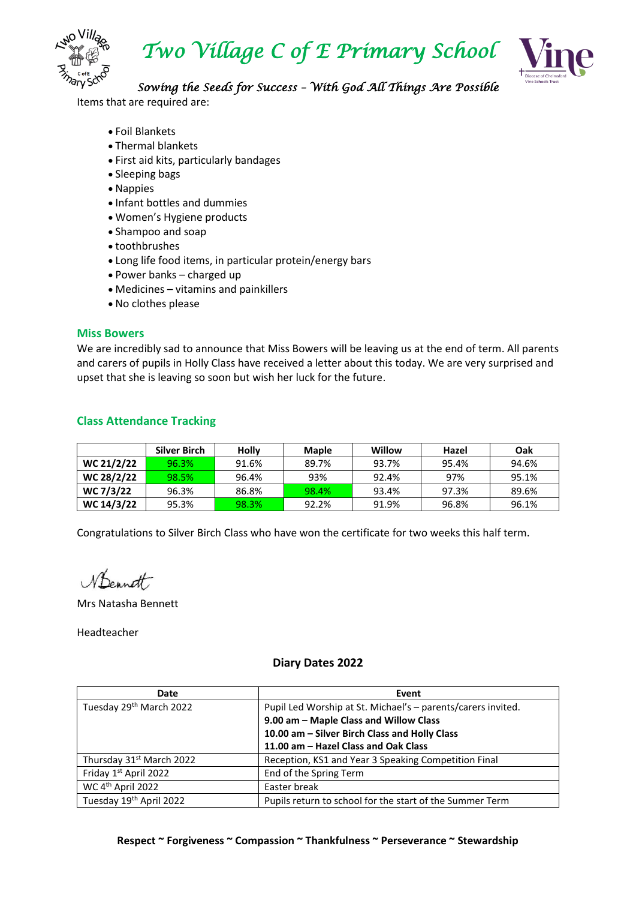

*Two Village C of E Primary School* 



### *Sowing the Seeds for Success – With God All Things Are Possible*

Items that are required are:

- Foil Blankets
- Thermal blankets
- First aid kits, particularly bandages
- Sleeping bags
- Nappies
- Infant bottles and dummies
- Women's Hygiene products
- Shampoo and soap
- toothbrushes
- Long life food items, in particular protein/energy bars
- Power banks charged up
- Medicines vitamins and painkillers
- No clothes please

### **Miss Bowers**

We are incredibly sad to announce that Miss Bowers will be leaving us at the end of term. All parents and carers of pupils in Holly Class have received a letter about this today. We are very surprised and upset that she is leaving so soon but wish her luck for the future.

### **Class Attendance Tracking**

|            | Silver Birch | <b>Holly</b> | <b>Maple</b> | Willow | Hazel | Oak   |
|------------|--------------|--------------|--------------|--------|-------|-------|
| WC 21/2/22 | 96.3%        | 91.6%        | 89.7%        | 93.7%  | 95.4% | 94.6% |
| WC 28/2/22 | 98.5%        | 96.4%        | 93%          | 92.4%  | 97%   | 95.1% |
| WC 7/3/22  | 96.3%        | 86.8%        | 98.4%        | 93.4%  | 97.3% | 89.6% |
| WC 14/3/22 | 95.3%        | 98.3%        | 92.2%        | 91.9%  | 96.8% | 96.1% |

Congratulations to Silver Birch Class who have won the certificate for two weeks this half term.

Wennett

Mrs Natasha Bennett

Headteacher

### **Diary Dates 2022**

| Date                                 | Event                                                        |
|--------------------------------------|--------------------------------------------------------------|
| Tuesday 29th March 2022              | Pupil Led Worship at St. Michael's - parents/carers invited. |
|                                      | 9.00 am - Maple Class and Willow Class                       |
|                                      | 10.00 am - Silver Birch Class and Holly Class                |
|                                      | 11.00 am - Hazel Class and Oak Class                         |
| Thursday 31 <sup>st</sup> March 2022 | Reception, KS1 and Year 3 Speaking Competition Final         |
| Friday 1st April 2022                | End of the Spring Term                                       |
| WC 4 <sup>th</sup> April 2022        | Easter break                                                 |
| Tuesday 19th April 2022              | Pupils return to school for the start of the Summer Term     |